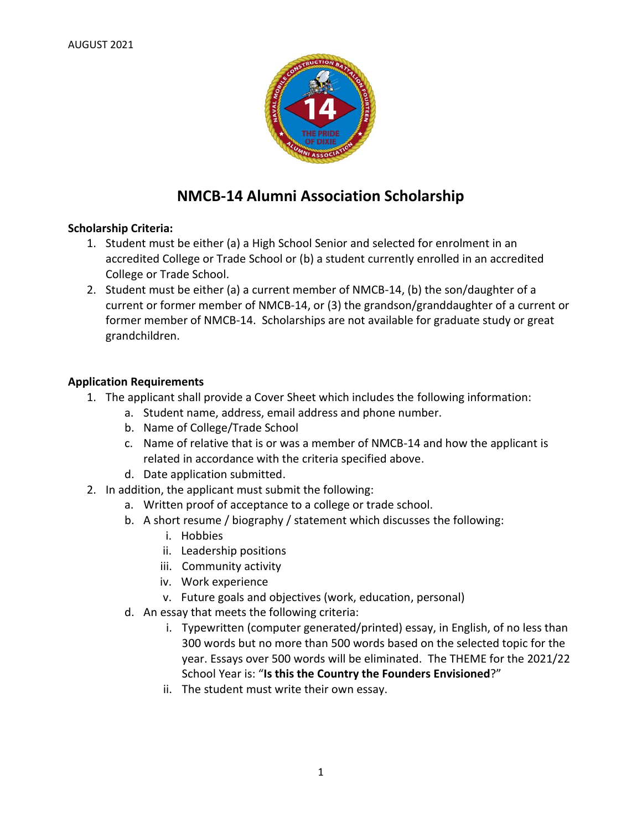

# **NMCB-14 Alumni Association Scholarship**

## **Scholarship Criteria:**

- 1. Student must be either (a) a High School Senior and selected for enrolment in an accredited College or Trade School or (b) a student currently enrolled in an accredited College or Trade School.
- 2. Student must be either (a) a current member of NMCB-14, (b) the son/daughter of a current or former member of NMCB-14, or (3) the grandson/granddaughter of a current or former member of NMCB-14. Scholarships are not available for graduate study or great grandchildren.

## **Application Requirements**

- 1. The applicant shall provide a Cover Sheet which includes the following information:
	- a. Student name, address, email address and phone number.
	- b. Name of College/Trade School
	- c. Name of relative that is or was a member of NMCB-14 and how the applicant is related in accordance with the criteria specified above.
	- d. Date application submitted.
- 2. In addition, the applicant must submit the following:
	- a. Written proof of acceptance to a college or trade school.
	- b. A short resume / biography / statement which discusses the following:
		- i. Hobbies
		- ii. Leadership positions
		- iii. Community activity
		- iv. Work experience
		- v. Future goals and objectives (work, education, personal)
	- d. An essay that meets the following criteria:
		- i. Typewritten (computer generated/printed) essay, in English, of no less than 300 words but no more than 500 words based on the selected topic for the year. Essays over 500 words will be eliminated. The THEME for the 2021/22 School Year is: "**Is this the Country the Founders Envisioned**?"
		- ii. The student must write their own essay.